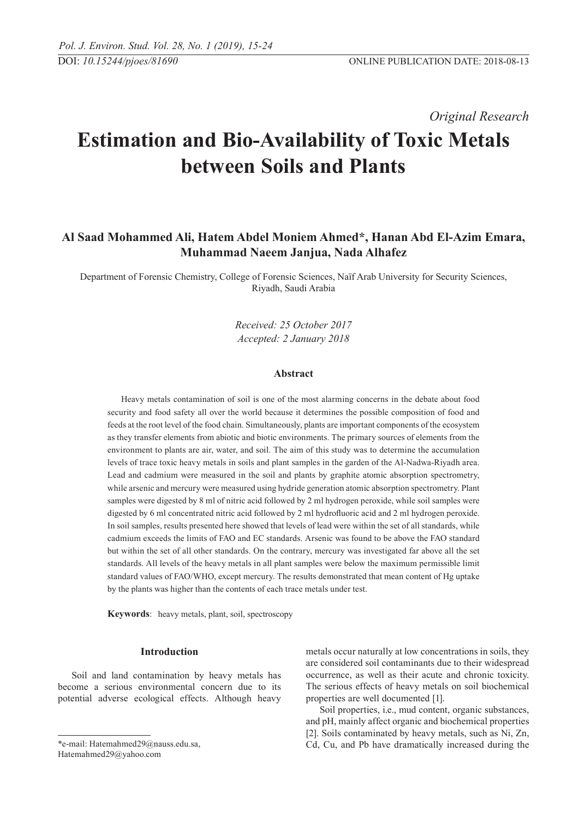*Original Research* 

# **Estimation and Bio-Availability of Toxic Metals between Soils and Plants**

## **Al Saad Mohammed Ali, Hatem Abdel Moniem Ahmed\*, Hanan Abd El-Azim Emara, Muhammad Naeem Janjua, Nada Alhafez**

Department of Forensic Chemistry, College of Forensic Sciences, Naïf Arab University for Security Sciences, Riyadh, Saudi Arabia

> *Received: 25 October 2017 Accepted: 2 January 2018*

## **Abstract**

Heavy metals contamination of soil is one of the most alarming concerns in the debate about food security and food safety all over the world because it determines the possible composition of food and feeds at the root level of the food chain. Simultaneously, plants are important components of the ecosystem as they transfer elements from abiotic and biotic environments. The primary sources of elements from the environment to plants are air, water, and soil. The aim of this study was to determine the accumulation levels of trace toxic heavy metals in soils and plant samples in the garden of the Al-Nadwa-Riyadh area. Lead and cadmium were measured in the soil and plants by graphite atomic absorption spectrometry, while arsenic and mercury were measured using hydride generation atomic absorption spectrometry. Plant samples were digested by 8 ml of nitric acid followed by 2 ml hydrogen peroxide, while soil samples were digested by 6 ml concentrated nitric acid followed by 2 ml hydrofluoric acid and 2 ml hydrogen peroxide. In soil samples, results presented here showed that levels of lead were within the set of all standards, while cadmium exceeds the limits of FAO and EC standards. Arsenic was found to be above the FAO standard but within the set of all other standards. On the contrary, mercury was investigated far above all the set standards. All levels of the heavy metals in all plant samples were below the maximum permissible limit standard values of FAO/WHO, except mercury. The results demonstrated that mean content of Hg uptake by the plants was higher than the contents of each trace metals under test.

**Keywords**: heavy metals, plant, soil, spectroscopy

#### **Introduction**

Soil and land contamination by heavy metals has become a serious environmental concern due to its potential adverse ecological effects. Although heavy

Hatemahmed29@yahoo.com

metals occur naturally at low concentrations in soils, they are considered soil contaminants due to their widespread occurrence, as well as their acute and chronic toxicity. The serious effects of heavy metals on soil biochemical properties are well documented [1].

Soil properties, i.e., mud content, organic substances, and pH, mainly affect organic and biochemical properties [2]. Soils contaminated by heavy metals, such as Ni, Zn, Cd, Cu, and Pb have dramatically increased during the

<sup>\*</sup>e-mail: Hatemahmed29@nauss.edu.sa,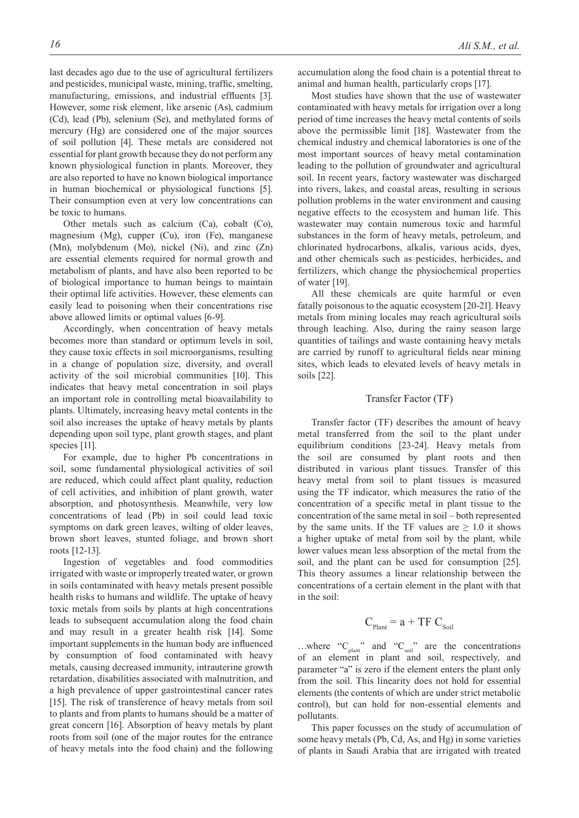last decades ago due to the use of agricultural fertilizers and pesticides, municipal waste, mining, traffic, smelting, manufacturing, emissions, and industrial effluents [3]. However, some risk element, like arsenic (As), cadmium (Cd), lead (Pb), selenium (Se), and methylated forms of mercury (Hg) are considered one of the major sources of soil pollution [4]. These metals are considered not essential for plant growth because they do not perform any known physiological function in plants. Moreover, they are also reported to have no known biological importance in human biochemical or physiological functions [5]. Their consumption even at very low concentrations can be toxic to humans.

Other metals such as calcium (Ca), cobalt (Co), magnesium (Mg), cupper (Cu), iron (Fe), manganese (Mn), molybdenum (Mo), nickel (Ni), and zinc (Zn) are essential elements required for normal growth and metabolism of plants, and have also been reported to be of biological importance to human beings to maintain their optimal life activities. However, these elements can easily lead to poisoning when their concentrations rise above allowed limits or optimal values [6-9].

Accordingly, when concentration of heavy metals becomes more than standard or optimum levels in soil, they cause toxic effects in soil microorganisms, resulting in a change of population size, diversity, and overall activity of the soil microbial communities [10]. This indicates that heavy metal concentration in soil plays an important role in controlling metal bioavailability to plants. Ultimately, increasing heavy metal contents in the soil also increases the uptake of heavy metals by plants depending upon soil type, plant growth stages, and plant species [11].

For example, due to higher Pb concentrations in soil, some fundamental physiological activities of soil are reduced, which could affect plant quality, reduction of cell activities, and inhibition of plant growth, water absorption, and photosynthesis. Meanwhile, very low concentrations of lead (Pb) in soil could lead toxic symptoms on dark green leaves, wilting of older leaves, brown short leaves, stunted foliage, and brown short roots [12-13].

Ingestion of vegetables and food commodities irrigated with waste or improperly treated water, or grown in soils contaminated with heavy metals present possible health risks to humans and wildlife. The uptake of heavy toxic metals from soils by plants at high concentrations leads to subsequent accumulation along the food chain and may result in a greater health risk [14]. Some important supplements in the human body are influenced by consumption of food contaminated with heavy metals, causing decreased immunity, intrauterine growth retardation, disabilities associated with malnutrition, and a high prevalence of upper gastrointestinal cancer rates [15]. The risk of transference of heavy metals from soil to plants and from plants to humans should be a matter of great concern [16]. Absorption of heavy metals by plant roots from soil (one of the major routes for the entrance of heavy metals into the food chain) and the following

accumulation along the food chain is a potential threat to animal and human health, particularly crops [17].

Most studies have shown that the use of wastewater contaminated with heavy metals for irrigation over a long period of time increases the heavy metal contents of soils above the permissible limit [18]. Wastewater from the chemical industry and chemical laboratories is one of the most important sources of heavy metal contamination leading to the pollution of groundwater and agricultural soil. In recent years, factory wastewater was discharged into rivers, lakes, and coastal areas, resulting in serious pollution problems in the water environment and causing negative effects to the ecosystem and human life. This wastewater may contain numerous toxic and harmful substances in the form of heavy metals, petroleum, and chlorinated hydrocarbons, alkalis, various acids, dyes, and other chemicals such as pesticides, herbicides, and fertilizers, which change the physiochemical properties of water [19].

All these chemicals are quite harmful or even fatally poisonous to the aquatic ecosystem [20-21]. Heavy metals from mining locales may reach agricultural soils through leaching. Also, during the rainy season large quantities of tailings and waste containing heavy metals are carried by runoff to agricultural fields near mining sites, which leads to elevated levels of heavy metals in soils [22].

## Transfer Factor (TF)

Transfer factor (TF) describes the amount of heavy metal transferred from the soil to the plant under equilibrium conditions [23-24]. Heavy metals from the soil are consumed by plant roots and then distributed in various plant tissues. Transfer of this heavy metal from soil to plant tissues is measured using the TF indicator, which measures the ratio of the concentration of a specific metal in plant tissue to the concentration of the same metal in soil – both represented by the same units. If the TF values are  $\geq 1.0$  it shows a higher uptake of metal from soil by the plant, while lower values mean less absorption of the metal from the soil, and the plant can be used for consumption [25]. This theory assumes a linear relationship between the concentrations of a certain element in the plant with that in the soil:

$$
C_{\text{Plant}} = a + T F C_{\text{Soil}}
$$

...where " $C_{\text{plant}}$ " and " $C_{\text{solid}}$ " are the concentrations of an element in plant and soil, respectively, and parameter "a" is zero if the element enters the plant only from the soil. This linearity does not hold for essential elements (the contents of which are under strict metabolic control), but can hold for non-essential elements and pollutants.

This paper focusses on the study of accumulation of some heavy metals (Pb, Cd, As, and Hg) in some varieties of plants in Saudi Arabia that are irrigated with treated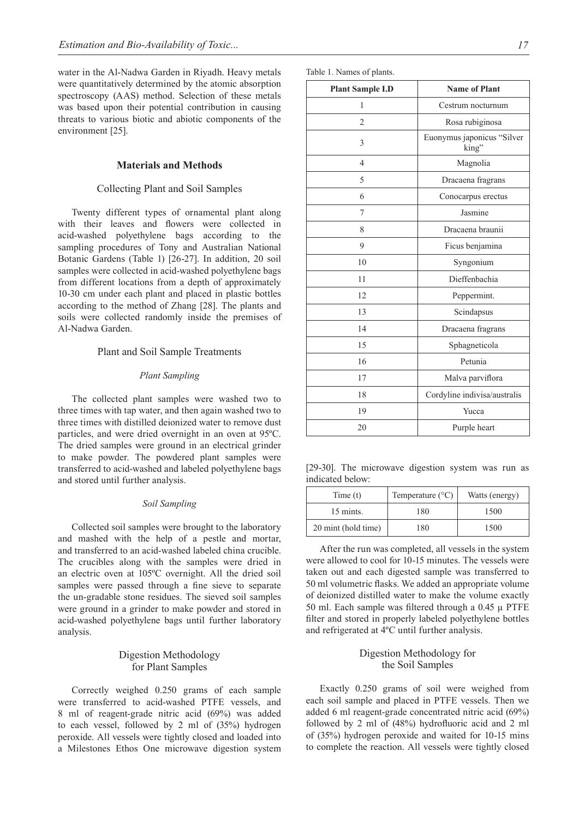water in the Al-Nadwa Garden in Riyadh. Heavy metals were quantitatively determined by the atomic absorption spectroscopy (AAS) method. Selection of these metals was based upon their potential contribution in causing threats to various biotic and abiotic components of the environment [25].

## **Materials and Methods**

## Collecting Plant and Soil Samples

Twenty different types of ornamental plant along with their leaves and flowers were collected in acid-washed polyethylene bags according to the sampling procedures of Tony and Australian National Botanic Gardens (Table 1) [26-27]. In addition, 20 soil samples were collected in acid-washed polyethylene bags from different locations from a depth of approximately 10-30 cm under each plant and placed in plastic bottles according to the method of Zhang [28]. The plants and soils were collected randomly inside the premises of Al-Nadwa Garden.

## Plant and Soil Sample Treatments

#### *Plant Sampling*

The collected plant samples were washed two to three times with tap water, and then again washed two to three times with distilled deionized water to remove dust particles, and were dried overnight in an oven at 95ºC. The dried samples were ground in an electrical grinder to make powder. The powdered plant samples were transferred to acid-washed and labeled polyethylene bags and stored until further analysis.

## *Soil Sampling*

Collected soil samples were brought to the laboratory and mashed with the help of a pestle and mortar, and transferred to an acid-washed labeled china crucible. The crucibles along with the samples were dried in an electric oven at 105ºC overnight. All the dried soil samples were passed through a fine sieve to separate the un-gradable stone residues. The sieved soil samples were ground in a grinder to make powder and stored in acid-washed polyethylene bags until further laboratory analysis.

## Digestion Methodology for Plant Samples

Correctly weighed 0.250 grams of each sample were transferred to acid-washed PTFE vessels, and 8 ml of reagent-grade nitric acid (69%) was added to each vessel, followed by 2 ml of (35%) hydrogen peroxide. All vessels were tightly closed and loaded into a Milestones Ethos One microwave digestion system

| <b>Plant Sample I.D</b> | <b>Name of Plant</b>                |  |  |
|-------------------------|-------------------------------------|--|--|
| 1                       | Cestrum nocturnum                   |  |  |
| $\overline{2}$          | Rosa rubiginosa                     |  |  |
| 3                       | Euonymus japonicus "Silver<br>king" |  |  |
| 4                       | Magnolia                            |  |  |
| 5                       | Dracaena fragrans                   |  |  |
| 6                       | Conocarpus erectus                  |  |  |
| 7                       | Jasmine                             |  |  |
| 8                       | Dracaena braunii                    |  |  |
| 9                       | Ficus benjamina                     |  |  |
| 10                      | Syngonium                           |  |  |
| 11                      | Dieffenbachia                       |  |  |
| 12                      | Peppermint.                         |  |  |
| 13                      | Scindapsus                          |  |  |
| 14                      | Dracaena fragrans                   |  |  |
| 15                      | Sphagneticola                       |  |  |
| 16                      | Petunia                             |  |  |
| 17                      | Malva parviflora                    |  |  |
| 18                      | Cordyline indivisa/australis        |  |  |
| 19                      | Yucca                               |  |  |
| 20                      | Purple heart                        |  |  |

[29-30]. The microwave digestion system was run as indicated below:

| Time(t)             | Temperature $(^{\circ}C)$ | Watts (energy) |
|---------------------|---------------------------|----------------|
| 15 mints.           | 180                       | 1500           |
| 20 mint (hold time) | 180                       | 1500           |

After the run was completed, all vessels in the system were allowed to cool for 10-15 minutes. The vessels were taken out and each digested sample was transferred to 50 ml volumetric flasks. We added an appropriate volume of deionized distilled water to make the volume exactly 50 ml. Each sample was filtered through a  $0.45 \mu$  PTFE filter and stored in properly labeled polyethylene bottles and refrigerated at 4ºC until further analysis.

## Digestion Methodology for the Soil Samples

Exactly 0.250 grams of soil were weighed from each soil sample and placed in PTFE vessels. Then we added 6 ml reagent-grade concentrated nitric acid (69%) followed by 2 ml of (48%) hydrofluoric acid and 2 ml of (35%) hydrogen peroxide and waited for 10-15 mins to complete the reaction. All vessels were tightly closed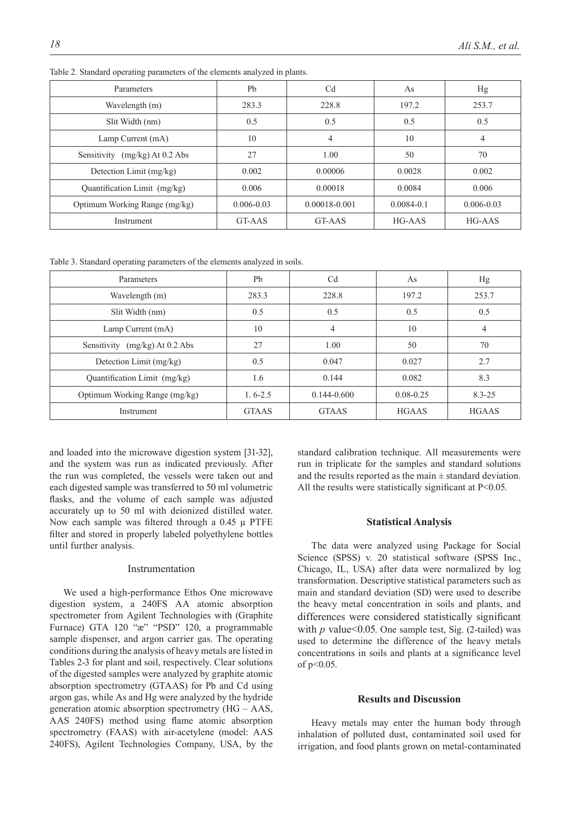| <b>Parameters</b>                | Pb             | C <sub>d</sub>    | As             | Hg             |
|----------------------------------|----------------|-------------------|----------------|----------------|
| Wavelength (m)                   | 283.3          | 228.8             | 197.2          | 253.7          |
| Slit Width (nm)                  | 0.5            | 0.5               | 0.5            | 0.5            |
| Lamp Current (mA)                | 10             | $\overline{4}$    | 10             | 4              |
| Sensitivity $(mg/kg)$ At 0.2 Abs | 27             | 1.00              | 50             | 70             |
| Detection Limit (mg/kg)          | 0.002          | 0.00006           | 0.0028         | 0.002          |
| Quantification Limit (mg/kg)     | 0.006          | 0.00018           | 0.0084         | 0.006          |
| Optimum Working Range (mg/kg)    | $0.006 - 0.03$ | $0.00018 - 0.001$ | $0.0084 - 0.1$ | $0.006 - 0.03$ |
| Instrument                       | GT-AAS         | GT-AAS            | HG-AAS         | HG-AAS         |

Table 2. Standard operating parameters of the elements analyzed in plants.

Table 3. Standard operating parameters of the elements analyzed in soils.

| Parameters                     | Pb           | C <sub>d</sub>  | As            | Hg           |
|--------------------------------|--------------|-----------------|---------------|--------------|
| Wavelength (m)                 | 283.3        | 228.8           | 197.2         | 253.7        |
| Slit Width (nm)                | 0.5          | 0.5             | 0.5           | 0.5          |
| Lamp Current (mA)              | 10           | 4               | 10            | 4            |
| Sensitivity (mg/kg) At 0.2 Abs | 27           | 1.00            | 50            | 70           |
| Detection Limit (mg/kg)        | 0.5          | 0.047           | 0.027         | 2.7          |
| Quantification Limit (mg/kg)   | 1.6          | 0.144           | 0.082         | 8.3          |
| Optimum Working Range (mg/kg)  | $1, 6-2.5$   | $0.144 - 0.600$ | $0.08 - 0.25$ | $8.3 - 2.5$  |
| Instrument                     | <b>GTAAS</b> | <b>GTAAS</b>    | <b>HGAAS</b>  | <b>HGAAS</b> |

and loaded into the microwave digestion system [31-32], and the system was run as indicated previously. After the run was completed, the vessels were taken out and each digested sample was transferred to 50 ml volumetric flasks, and the volume of each sample was adjusted accurately up to 50 ml with deionized distilled water. Now each sample was filtered through a  $0.45 \mu$  PTFE filter and stored in properly labeled polyethylene bottles until further analysis.

## Instrumentation

We used a high-performance Ethos One microwave digestion system, a 240FS AA atomic absorption spectrometer from Agilent Technologies with (Graphite Furnace) GTA 120 "æ" "PSD" 120, a programmable sample dispenser, and argon carrier gas. The operating conditions during the analysis of heavy metals are listed in Tables 2-3 for plant and soil, respectively. Clear solutions of the digested samples were analyzed by graphite atomic absorption spectrometry (GTAAS) for Pb and Cd using argon gas, while As and Hg were analyzed by the hydride generation atomic absorption spectrometry (HG – AAS, AAS 240FS) method using flame atomic absorption spectrometry (FAAS) with air-acetylene (model: AAS 240FS), Agilent Technologies Company, USA, by the

standard calibration technique. All measurements were run in triplicate for the samples and standard solutions and the results reported as the main  $\pm$  standard deviation. All the results were statistically significant at  $P<0.05$ .

#### **Statistical Analysis**

The data were analyzed using Package for Social Science (SPSS) v. 20 statistical software (SPSS Inc., Chicago, IL, USA) after data were normalized by log transformation. Descriptive statistical parameters such as main and standard deviation (SD) were used to describe the heavy metal concentration in soils and plants, and differences were considered statistically significant with *p* value<0.05. One sample test, Sig. (2-tailed) was used to determine the difference of the heavy metals concentrations in soils and plants at a significance level of p<0.05.

## **Results and Discussion**

Heavy metals may enter the human body through inhalation of polluted dust, contaminated soil used for irrigation, and food plants grown on metal-contaminated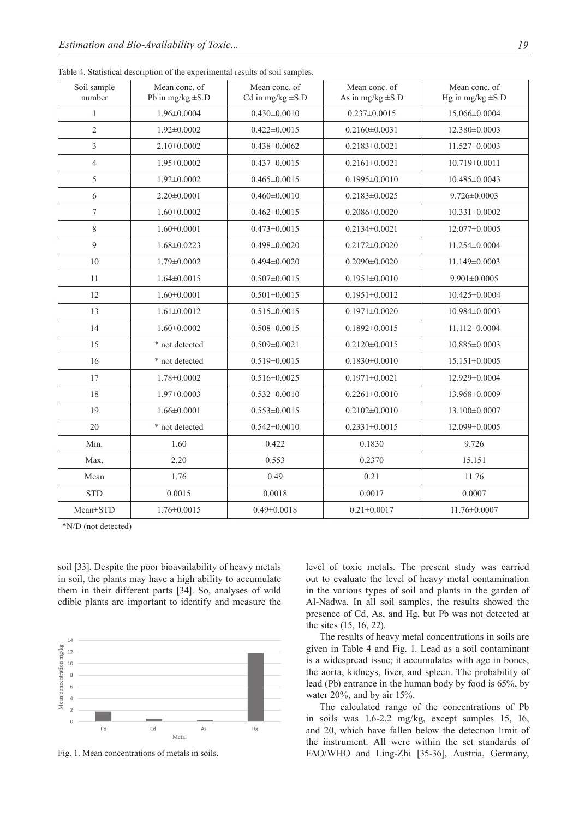| Soil sample<br>number | Mean conc. of<br>Pb in mg/kg $\pm$ S.D | Mean conc. of<br>Cd in mg/kg $\pm$ S.D | Mean conc. of<br>As in mg/kg $\pm$ S.D | Mean conc. of<br>Hg in mg/kg $\pm$ S.D |
|-----------------------|----------------------------------------|----------------------------------------|----------------------------------------|----------------------------------------|
| 1                     | 1.96±0.0004                            | $0.430 \pm 0.0010$                     | $0.237 \pm 0.0015$                     | 15.066±0.0004                          |
| $\overline{2}$        | $1.92 \pm 0.0002$                      | $0.422 \pm 0.0015$                     | $0.2160 \pm 0.0031$                    | 12.380±0.0003                          |
| 3                     | $2.10\pm0.0002$                        | $0.438 \pm 0.0062$                     | $0.2183 \pm 0.0021$                    | $11.527 \pm 0.0003$                    |
| $\overline{4}$        | 1.95±0.0002                            | $0.437 \pm 0.0015$                     | $0.2161 \pm 0.0021$                    | 10.719±0.0011                          |
| 5                     | $1.92 \pm 0.0002$                      | $0.465 \pm 0.0015$                     | $0.1995 \pm 0.0010$                    | 10.485±0.0043                          |
| 6                     | $2.20 \pm 0.0001$                      | $0.460 \pm 0.0010$                     | $0.2183 \pm 0.0025$                    | $9.726 \pm 0.0003$                     |
| $\tau$                | $1.60 \pm 0.0002$                      | $0.462 \pm 0.0015$                     | $0.2086 \pm 0.0020$                    | $10.331 \pm 0.0002$                    |
| 8                     | $1.60 \pm 0.0001$                      | $0.473 \pm 0.0015$                     | $0.2134 \pm 0.0021$                    | 12.077±0.0005                          |
| 9                     | $1.68 \pm 0.0223$                      | $0.498 \pm 0.0020$                     | $0.2172 \pm 0.0020$                    | 11.254±0.0004                          |
| $10\,$                | $1.79 \pm 0.0002$                      | $0.494 \pm 0.0020$                     | $0.2090 \pm 0.0020$                    | 11.149±0.0003                          |
| 11                    | $1.64 \pm 0.0015$                      | $0.507 \pm 0.0015$                     | $0.1951 \pm 0.0010$                    | $9.901 \pm 0.0005$                     |
| 12                    | $1.60 \pm 0.0001$                      | $0.501 \pm 0.0015$                     | $0.1951 \pm 0.0012$                    | 10.425±0.0004                          |
| 13                    | $1.61 \pm 0.0012$                      | $0.515 \pm 0.0015$                     | $0.1971 \pm 0.0020$                    | 10.984±0.0003                          |
| 14                    | $1.60 \pm 0.0002$                      | $0.508 \pm 0.0015$                     | $0.1892 \pm 0.0015$                    | 11.112±0.0004                          |
| 15                    | * not detected                         | $0.509 \pm 0.0021$                     | $0.2120 \pm 0.0015$                    | 10.885±0.0003                          |
| 16                    | * not detected                         | $0.519 \pm 0.0015$                     | $0.1830 \pm 0.0010$                    | 15.151±0.0005                          |
| 17                    | $1.78 \pm 0.0002$                      | $0.516 \pm 0.0025$                     | $0.1971 \pm 0.0021$                    | 12.929±0.0004                          |
| 18                    | $1.97 \pm 0.0003$                      | $0.532 \pm 0.0010$                     | $0.2261 \pm 0.0010$                    | 13.968±0.0009                          |
| 19                    | $1.66 \pm 0.0001$                      | $0.553 \pm 0.0015$                     | $0.2102 \pm 0.0010$                    | 13.100±0.0007                          |
| 20                    | * not detected                         | $0.542 \pm 0.0010$                     | $0.2331 \pm 0.0015$                    | 12.099±0.0005                          |
| Min.                  | 1.60                                   | 0.422                                  | 0.1830                                 | 9.726                                  |
| Max.                  | 2.20                                   | 0.553                                  | 0.2370                                 | 15.151                                 |
| Mean                  | 1.76                                   | 0.49                                   | 0.21                                   | 11.76                                  |
| <b>STD</b>            | 0.0015                                 | 0.0018                                 | 0.0017                                 | 0.0007                                 |
| Mean±STD              | $1.76 \pm 0.0015$                      | $0.49 \pm 0.0018$                      | $0.21 \pm 0.0017$                      | $11.76 \pm 0.0007$                     |

Table 4. Statistical description of the experimental results of soil samples.

\*N/D (not detected)

soil [33]. Despite the poor bioavailability of heavy metals in soil, the plants may have a high ability to accumulate them in their different parts [34]. So, analyses of wild edible plants are important to identify and measure the



Fig. 1. Mean concentrations of metals in soils.

level of toxic metals. The present study was carried out to evaluate the level of heavy metal contamination in the various types of soil and plants in the garden of Al-Nadwa. In all soil samples, the results showed the presence of Cd, As, and Hg, but Pb was not detected at the sites (15, 16, 22).

The results of heavy metal concentrations in soils are given in Table 4 and Fig. 1. Lead as a soil contaminant is a widespread issue; it accumulates with age in bones, the aorta, kidneys, liver, and spleen. The probability of lead (Pb) entrance in the human body by food is 65%, by water 20%, and by air 15%.

The calculated range of the concentrations of Pb in soils was 1.6-2.2 mg/kg, except samples 15, 16, and 20, which have fallen below the detection limit of the instrument. All were within the set standards of FAO/WHO and Ling-Zhi [35-36], Austria, Germany,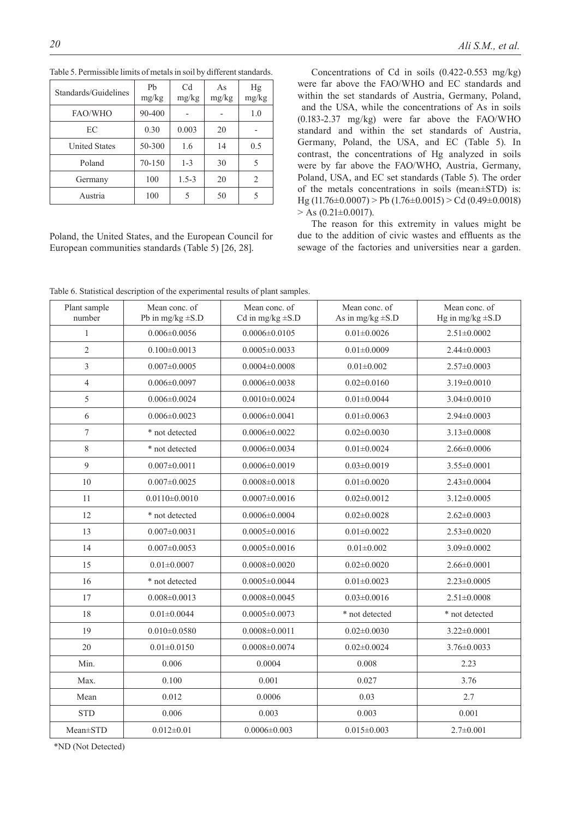| Standards/Guidelines | Ph<br>mg/kg | Cd<br>mg/kg | As<br>mg/kg | Hg<br>mg/kg |
|----------------------|-------------|-------------|-------------|-------------|
| FAO/WHO              | 90-400      |             |             | 1.0         |
| EC                   | 0.30        | 0.003       | 20          |             |
| <b>United States</b> | 50-300      | 1.6         | 14          | 0.5         |
| Poland               | 70-150      | $1 - 3$     | 30          | 5           |
| Germany              | 100         | $1.5 - 3$   | 20          | 2           |
| Austria              | 100         | 5           | 50          |             |

Table 5. Permissible limits of metals in soil by different standards.

Poland, the United States, and the European Council for European communities standards (Table 5) [26, 28].

Concentrations of Cd in soils (0.422-0.553 mg/kg) were far above the FAO/WHO and EC standards and within the set standards of Austria, Germany, Poland, and the USA, while the concentrations of As in soils (0.183-2.37 mg/kg) were far above the FAO/WHO standard and within the set standards of Austria, Germany, Poland, the USA, and EC (Table 5). In contrast, the concentrations of Hg analyzed in soils were by far above the FAO/WHO, Austria, Germany, Poland, USA, and EC set standards (Table 5). The order of the metals concentrations in soils (mean±STD) is:  $Hg (11.76 \pm 0.0007)$  > Pb  $(1.76 \pm 0.0015)$  > Cd  $(0.49 \pm 0.0018)$  $> As (0.21 \pm 0.0017).$ 

The reason for this extremity in values might be due to the addition of civic wastes and effluents as the sewage of the factories and universities near a garden.

Table 6. Statistical description of the experimental results of plant samples.

| Plant sample<br>number | Mean conc. of<br>Pb in mg/kg $\pm$ S.D | Mean conc. of<br>Cd in mg/kg $\pm$ S.D | Mean conc. of<br>As in mg/kg $\pm$ S.D | Mean conc. of<br>Hg in mg/kg $\pm$ S.D |
|------------------------|----------------------------------------|----------------------------------------|----------------------------------------|----------------------------------------|
| 1                      | $0.006 \pm 0.0056$                     | $0.0006 \pm 0.0105$                    | $0.01 \pm 0.0026$                      | $2.51 \pm 0.0002$                      |
| $\overline{2}$         | $0.100 \pm 0.0013$                     | $0.0005 \pm 0.0033$                    | $0.01 \pm 0.0009$                      | $2.44 \pm 0.0003$                      |
| 3                      | $0.007 \pm 0.0005$                     | $0.0004 \pm 0.0008$                    | $0.01 \pm 0.002$                       | $2.57\pm0.0003$                        |
| $\overline{4}$         | $0.006 \pm 0.0097$                     | $0.0006 \pm 0.0038$                    | $0.02 \pm 0.0160$                      | $3.19 \pm 0.0010$                      |
| 5                      | $0.006 \pm 0.0024$                     | $0.0010\pm0.0024$                      | $0.01 \pm 0.0044$                      | $3.04 \pm 0.0010$                      |
| 6                      | $0.006 \pm 0.0023$                     | $0.0006 \pm 0.0041$                    | $0.01 \pm 0.0063$                      | $2.94 \pm 0.0003$                      |
| $\overline{7}$         | * not detected                         | $0.0006 \pm 0.0022$                    | $0.02 \pm 0.0030$                      | $3.13 \pm 0.0008$                      |
| $8\,$                  | * not detected                         | $0.0006 \pm 0.0034$                    | $0.01 \pm 0.0024$                      | $2.66 \pm 0.0006$                      |
| $\mathfrak{g}$         | $0.007 \pm 0.0011$                     | $0.0006 \pm 0.0019$                    | $0.03 \pm 0.0019$                      | 3.55±0.0001                            |
| 10                     | $0.007 \pm 0.0025$                     | $0.0008 \pm 0.0018$                    | $0.01 \pm 0.0020$                      | $2.43 \pm 0.0004$                      |
| 11                     | $0.0110 \pm 0.0010$                    | $0.0007 \pm 0.0016$                    | $0.02 \pm 0.0012$                      | $3.12 \pm 0.0005$                      |
| 12                     | * not detected                         | $0.0006 \pm 0.0004$                    | $0.02 \pm 0.0028$                      | $2.62 \pm 0.0003$                      |
| 13                     | $0.007 \pm 0.0031$                     | $0.0005 \pm 0.0016$                    | $0.01 \pm 0.0022$                      | $2.53 \pm 0.0020$                      |
| 14                     | $0.007 \pm 0.0053$                     | $0.0005 \pm 0.0016$                    | $0.01 \pm 0.002$                       | $3.09 \pm 0.0002$                      |
| 15                     | $0.01 \pm 0.0007$                      | $0.0008 \pm 0.0020$                    | $0.02 \pm 0.0020$                      | $2.66 \pm 0.0001$                      |
| 16                     | * not detected                         | $0.0005 \pm 0.0044$                    | $0.01 \pm 0.0023$                      | $2.23 \pm 0.0005$                      |
| 17                     | $0.008 \pm 0.0013$                     | $0.0008 \pm 0.0045$                    | $0.03 \pm 0.0016$                      | $2.51 \pm 0.0008$                      |
| 18                     | $0.01 \pm 0.0044$                      | $0.0005 \pm 0.0073$                    | * not detected                         | * not detected                         |
| 19                     | $0.010 \pm 0.0580$                     | $0.0008 \pm 0.0011$                    | $0.02 \pm 0.0030$                      | $3.22 \pm 0.0001$                      |
| 20                     | $0.01 \pm 0.0150$                      | $0.0008 \pm 0.0074$                    | $0.02 \pm 0.0024$                      | $3.76 \pm 0.0033$                      |
| Min.                   | 0.006                                  | 0.0004                                 | 0.008                                  | 2.23                                   |
| Max.                   | 0.100                                  | 0.001                                  | 0.027                                  | 3.76                                   |
| Mean                   | 0.012                                  | 0.0006                                 | 0.03                                   | 2.7                                    |
| <b>STD</b>             | 0.006                                  | 0.003                                  | 0.003                                  | 0.001                                  |
| Mean±STD               | $0.012 \pm 0.01$                       | $0.0006 \pm 0.003$                     | $0.015 \pm 0.003$                      | $2.7 \pm 0.001$                        |

\*ND (Not Detected)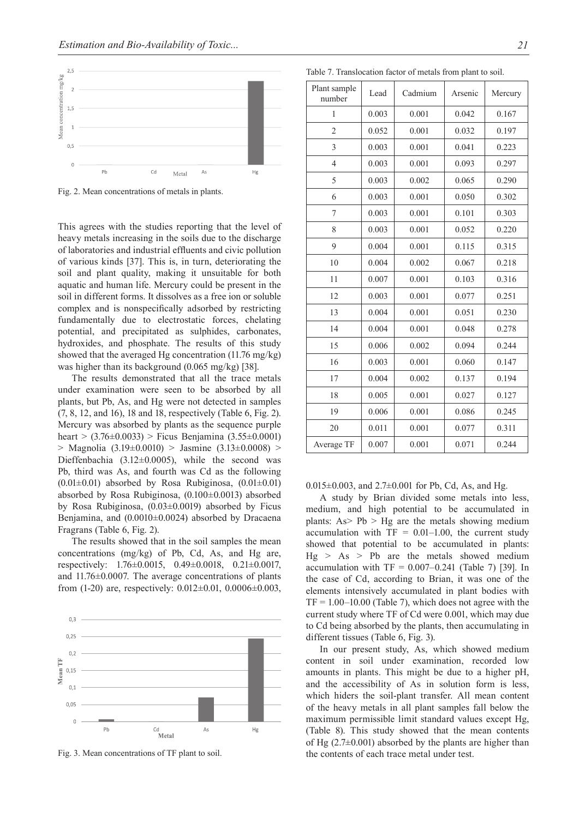

Fig. 2. Mean concentrations of metals in plants.

This agrees with the studies reporting that the level of heavy metals increasing in the soils due to the discharge of laboratories and industrial effluents and civic pollution of various kinds [37]. This is, in turn, deteriorating the soil and plant quality, making it unsuitable for both aquatic and human life. Mercury could be present in the soil in different forms. It dissolves as a free ion or soluble complex and is nonspecifically adsorbed by restricting fundamentally due to electrostatic forces, chelating potential, and precipitated as sulphides, carbonates, hydroxides, and phosphate. The results of this study showed that the averaged Hg concentration (11.76 mg/kg) was higher than its background (0.065 mg/kg) [38].

The results demonstrated that all the trace metals under examination were seen to be absorbed by all plants, but Pb, As, and Hg were not detected in samples (7, 8, 12, and 16), 18 and 18, respectively (Table 6, Fig. 2). Mercury was absorbed by plants as the sequence purple heart >  $(3.76\pm0.0033)$  > Ficus Benjamina  $(3.55\pm0.0001)$ > Magnolia  $(3.19\pm0.0010)$  > Jasmine  $(3.13\pm0.0008)$  > Dieffenbachia  $(3.12\pm0.0005)$ , while the second was Pb, third was As, and fourth was Cd as the following  $(0.01\pm0.01)$  absorbed by Rosa Rubiginosa,  $(0.01\pm0.01)$ absorbed by Rosa Rubiginosa, (0.100±0.0013) absorbed by Rosa Rubiginosa, (0.03±0.0019) absorbed by Ficus Benjamina, and (0.0010±0.0024) absorbed by Dracaena Fragrans (Table 6, Fig. 2).

The results showed that in the soil samples the mean concentrations (mg/kg) of Pb, Cd, As, and Hg are, respectively: 1.76±0.0015, 0.49±0.0018, 0.21±0.0017, and 11.76±0.0007. The average concentrations of plants from (1-20) are, respectively: 0.012±0.01, 0.0006±0.003,



Table 7. Translocation factor of metals from plant to soil.

| Plant sample<br>number | Lead  | Cadmium | Arsenic | Mercury |
|------------------------|-------|---------|---------|---------|
| 1                      | 0.003 | 0.001   | 0.042   | 0.167   |
| $\overline{c}$         | 0.052 | 0.001   | 0.032   | 0.197   |
| $\overline{3}$         | 0.003 | 0.001   | 0.041   | 0.223   |
| $\overline{4}$         | 0.003 | 0.001   | 0.093   | 0.297   |
| 5                      | 0.003 | 0.002   | 0.065   | 0.290   |
| 6                      | 0.003 | 0.001   | 0.050   | 0.302   |
| 7                      | 0.003 | 0.001   | 0.101   | 0.303   |
| 8                      | 0.003 | 0.001   | 0.052   | 0.220   |
| 9                      | 0.004 | 0.001   | 0.115   | 0.315   |
| 10                     | 0.004 | 0.002   | 0.067   | 0.218   |
| 11                     | 0.007 | 0.001   | 0.103   | 0.316   |
| 12                     | 0.003 | 0.001   | 0.077   | 0.251   |
| 13                     | 0.004 | 0.001   | 0.051   | 0.230   |
| 14                     | 0.004 | 0.001   | 0.048   | 0.278   |
| 15                     | 0.006 | 0.002   | 0.094   | 0.244   |
| 16                     | 0.003 | 0.001   | 0.060   | 0.147   |
| 17                     | 0.004 | 0.002   | 0.137   | 0.194   |
| 18                     | 0.005 | 0.001   | 0.027   | 0.127   |
| 19                     | 0.006 | 0.001   | 0.086   | 0.245   |
| 20                     | 0.011 | 0.001   | 0.077   | 0.311   |
| Average TF             | 0.007 | 0.001   | 0.071   | 0.244   |

0.015 $\pm$ 0.003, and 2.7 $\pm$ 0.001 for Pb, Cd, As, and Hg.

A study by Brian divided some metals into less, medium, and high potential to be accumulated in plants:  $As > Pb > He$  are the metals showing medium accumulation with  $TF = 0.01-1.00$ , the current study showed that potential to be accumulated in plants:  $Hg > As > Pb$  are the metals showed medium accumulation with  $TF = 0.007 - 0.241$  (Table 7) [39]. In the case of Cd, according to Brian, it was one of the elements intensively accumulated in plant bodies with  $TF = 1.00-10.00$  (Table 7), which does not agree with the current study where TF of Cd were 0.001, which may due to Cd being absorbed by the plants, then accumulating in different tissues (Table 6, Fig. 3).

In our present study, As, which showed medium content in soil under examination, recorded low amounts in plants. This might be due to a higher pH, and the accessibility of As in solution form is less, which hiders the soil-plant transfer. All mean content of the heavy metals in all plant samples fall below the maximum permissible limit standard values except Hg, (Table 8). This study showed that the mean contents of Hg  $(2.7\pm0.001)$  absorbed by the plants are higher than Fig. 3. Mean concentrations of TF plant to soil. the contents of each trace metal under test.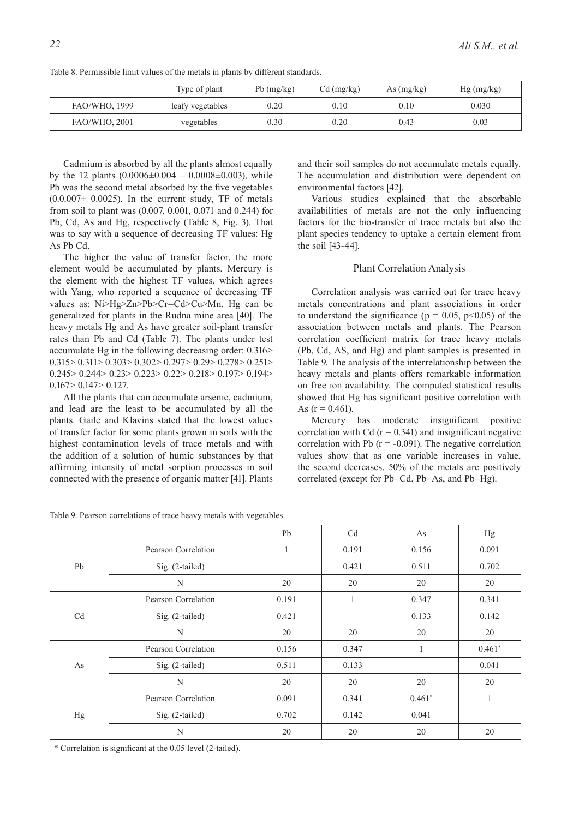|                      | Type of plant    | $Pb$ (mg/kg) | $Cd$ (mg/kg) | As $(mg/kg)$ | $Hg$ (mg/kg) |
|----------------------|------------------|--------------|--------------|--------------|--------------|
| FAO/WHO, 1999        | leafy vegetables | 0.20         | 0.10         | 0.10         | 0.030        |
| <b>FAO/WHO, 2001</b> | vegetables       | 0.30         | 0.20         | 0.43         | 0.03         |

Table 8. Permissible limit values of the metals in plants by different standards.

Cadmium is absorbed by all the plants almost equally by the 12 plants  $(0.0006\pm0.004 - 0.0008\pm0.003)$ , while Pb was the second metal absorbed by the five vegetables  $(0.0.007\pm 0.0025)$ . In the current study, TF of metals from soil to plant was (0.007, 0.001, 0.071 and 0.244) for Pb, Cd, As and Hg, respectively (Table 8, Fig. 3). That was to say with a sequence of decreasing TF values: Hg As Pb Cd.

The higher the value of transfer factor, the more element would be accumulated by plants. Mercury is the element with the highest TF values, which agrees with Yang, who reported a sequence of decreasing TF values as: Ni>Hg>Zn>Pb>Cr=Cd>Cu>Mn. Hg can be generalized for plants in the Rudna mine area [40]. The heavy metals Hg and As have greater soil-plant transfer rates than Pb and Cd (Table 7). The plants under test accumulate Hg in the following decreasing order: 0.316> 0.315> 0.311> 0.303> 0.302> 0.297> 0.29> 0.278> 0.251> 0.245> 0.244> 0.23> 0.223> 0.22> 0.218> 0.197> 0.194>  $0.167 > 0.147 > 0.127$ .

All the plants that can accumulate arsenic, cadmium, and lead are the least to be accumulated by all the plants. Gaile and Klavins stated that the lowest values of transfer factor for some plants grown in soils with the highest contamination levels of trace metals and with the addition of a solution of humic substances by that affirming intensity of metal sorption processes in soil connected with the presence of organic matter [41]. Plants

Table 9. Pearson correlations of trace heavy metals with vegetables.

and their soil samples do not accumulate metals equally. The accumulation and distribution were dependent on environmental factors [42].

Various studies explained that the absorbable availabilities of metals are not the only influencing factors for the bio-transfer of trace metals but also the plant species tendency to uptake a certain element from the soil [43-44].

#### Plant Correlation Analysis

Correlation analysis was carried out for trace heavy metals concentrations and plant associations in order to understand the significance ( $p = 0.05$ ,  $p < 0.05$ ) of the association between metals and plants. The Pearson correlation coefficient matrix for trace heavy metals (Pb, Cd, AS, and Hg) and plant samples is presented in Table 9. The analysis of the interrelationship between the heavy metals and plants offers remarkable information on free ion availability. The computed statistical results showed that Hg has significant positive correlation with As  $(r = 0.461)$ .

Mercury has moderate insignificant positive correlation with Cd  $(r = 0.341)$  and insignificant negative correlation with Pb  $(r = -0.091)$ . The negative correlation values show that as one variable increases in value, the second decreases. 50% of the metals are positively correlated (except for Pb–Cd, Pb–As, and Pb–Hg).

|                |                     | Pb    | C <sub>d</sub> | As       | Hg           |
|----------------|---------------------|-------|----------------|----------|--------------|
|                | Pearson Correlation | 1     | 0.191          | 0.156    | 0.091        |
| Pb             | Sig. (2-tailed)     |       | 0.421          | 0.511    | 0.702        |
|                | N                   | 20    | 20             | 20       | 20           |
|                | Pearson Correlation | 0.191 | 1              | 0.347    | 0.341        |
| C <sub>d</sub> | Sig. (2-tailed)     | 0.421 |                | 0.133    | 0.142        |
|                | N                   | 20    | 20             | 20       | 20           |
|                | Pearson Correlation | 0.156 | 0.347          |          | $0.461*$     |
| As             | Sig. (2-tailed)     | 0.511 | 0.133          |          | 0.041        |
|                | N                   | 20    | 20             | 20       | 20           |
| Hg             | Pearson Correlation | 0.091 | 0.341          | $0.461*$ | $\mathbf{1}$ |
|                | Sig. (2-tailed)     | 0.702 | 0.142          | 0.041    |              |
|                | N                   | 20    | 20             | 20       | 20           |

\* Correlation is significant at the 0.05 level (2-tailed).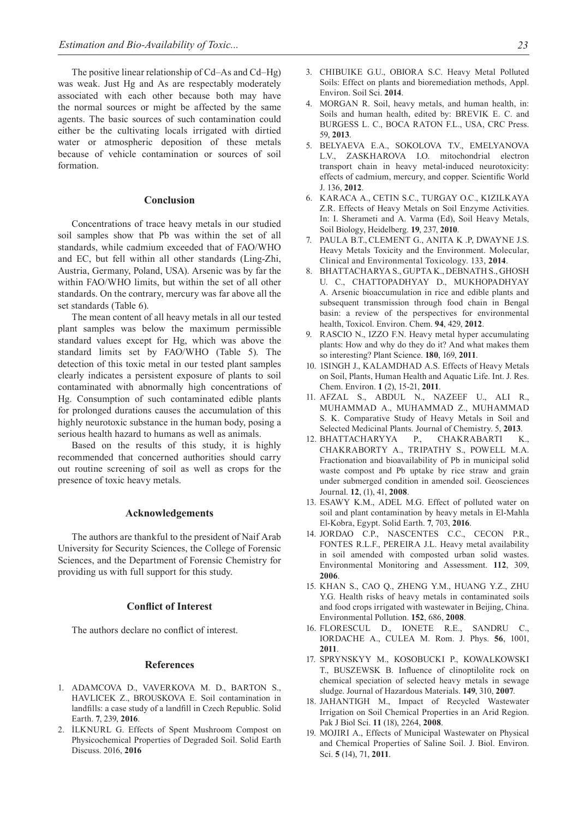The positive linear relationship of Cd–As and Cd–Hg) was weak. Just Hg and As are respectably moderately associated with each other because both may have the normal sources or might be affected by the same agents. The basic sources of such contamination could either be the cultivating locals irrigated with dirtied water or atmospheric deposition of these metals because of vehicle contamination or sources of soil formation.

## **Conclusion**

Concentrations of trace heavy metals in our studied soil samples show that Pb was within the set of all standards, while cadmium exceeded that of FAO/WHO and EC, but fell within all other standards (Ling-Zhi, Austria, Germany, Poland, USA). Arsenic was by far the within FAO/WHO limits, but within the set of all other standards. On the contrary, mercury was far above all the set standards (Table 6).

The mean content of all heavy metals in all our tested plant samples was below the maximum permissible standard values except for Hg, which was above the standard limits set by FAO/WHO (Table 5). The detection of this toxic metal in our tested plant samples clearly indicates a persistent exposure of plants to soil contaminated with abnormally high concentrations of Hg. Consumption of such contaminated edible plants for prolonged durations causes the accumulation of this highly neurotoxic substance in the human body, posing a serious health hazard to humans as well as animals.

Based on the results of this study, it is highly recommended that concerned authorities should carry out routine screening of soil as well as crops for the presence of toxic heavy metals.

#### **Acknowledgements**

The authors are thankful to the president of Naif Arab University for Security Sciences, the College of Forensic Sciences, and the Department of Forensic Chemistry for providing us with full support for this study.

## **Conflict of Interest**

The authors declare no conflict of interest.

#### **References**

- 1. ADAMCOVA D., VAVERKOVA M. D., BARTON S., HAVLICEK Z., BROUSKOVA E. Soil contamination in landfills: a case study of a landfill in Czech Republic. Solid Earth. **7**, 239, **2016**.
- 2. İLKNURL G. Effects of Spent Mushroom Compost on Physicochemical Properties of Degraded Soil. Solid Earth Discuss. 2016, **2016**
- 3. CHIBUIKE G.U., OBIORA S.C. Heavy Metal Polluted Soils: Effect on plants and bioremediation methods, Appl. Environ. Soil Sci. **2014**.
- MORGAN R. Soil, heavy metals, and human health, in: Soils and human health, edited by: BREVIK E. C. and BURGESS L. C., BOCA RATON F.L., USA, CRC Press. 59, **2013**.
- 5. Belyaeva E.A., Sokolova T.V., Emelyanova L.V., ZASKHAROVA I.O. mitochondrial electron transport chain in heavy metal-induced neurotoxicity: effects of cadmium, mercury, and copper. Scientific World J. 136, **2012**.
- 6. KARACA A., CETIN S.C., TURGAY O.C., KIZILKAYA Z.R. Effects of Heavy Metals on Soil Enzyme Activities. In: I. Sherameti and A. Varma (Ed), Soil Heavy Metals, Soil Biology, Heidelberg. **19**, 237, **2010**.
- 7. PAULA B.T., CLEMENT G., ANITA K .P, DWAYNE J.S. Heavy Metals Toxicity and the Environment. Molecular, Clinical and Environmental Toxicology. 133, **2014**.
- 8. BHATTACHARYA S., GUPTA K., DEBNATH S., GHOSH U. C., CHATTOPADHYAY D., MUKHOPADHYAY A. Arsenic bioaccumulation in rice and edible plants and subsequent transmission through food chain in Bengal basin: a review of the perspectives for environmental health, Toxicol. Environ. Chem. **94**, 429, **2012**.
- 9. RASCIO N., IZZO F.N. Heavy metal hyper accumulating plants: How and why do they do it? And what makes them so interesting? Plant Science. **180**, 169, **2011**.
- 10. 1SINGH J., KALAMDHAD A.S. Effects of Heavy Metals on Soil, Plants, Human Health and Aquatic Life. Int. J. Res. Chem. Environ. **1** (2), 15-21, **2011**.
- 11. AFZAL S., ABDUL N., NAZEEF U., ALI R., MUHAMMAD A., MUHAMMAD Z., MUHAMMAD S. K. Comparative Study of Heavy Metals in Soil and Selected Medicinal Plants*.* Journal of Chemistry. 5, **2013**.
- 12. BHATTACHARYYA P., CHAKRABARTI K., CHAKRABORTY A., TRIPATHY S., POWELL M.A. Fractionation and bioavailability of Pb in municipal solid waste compost and Pb uptake by rice straw and grain under submerged condition in amended soil. Geosciences Journal. **12**, (1), 41, **2008**.
- 13. ESAWY K.M., ADEL M.G. Effect of polluted water on soil and plant contamination by heavy metals in El-Mahla El-Kobra, Egypt. Solid Earth. **7**, 703, **2016**.
- 14. JORDAO C.P., NASCENTES C.C., CECON P.R., FONTES R.L.F., PEREIRA J.L. Heavy metal availability in soil amended with composted urban solid wastes. Environmental Monitoring and Assessment. **112**, 309, **2006**.
- 15. KHAN S., CAO Q., ZHENG Y.M., HUANG Y.Z., ZHU Y.G. Health risks of heavy metals in contaminated soils and food crops irrigated with wastewater in Beijing, China. Environmental Pollution. **152**, 686, **2008**.
- 16. FLORESCUL D., IONETE R.E., SANDRU C., IORDACHE A., CULEA M. Rom. J. Phys. **56**, 1001, **2011**.
- 17. SPRYNSKYY M., KOSOBUCKI P., KOWALKOWSKI T., BUSZEWSK B. Influence of clinoptilolite rock on chemical speciation of selected heavy metals in sewage sludge. Journal of Hazardous Materials. **149**, 310, **2007**.
- 18. JAHANTIGH M., Impact of Recycled Wastewater Irrigation on Soil Chemical Properties in an Arid Region. Pak J Biol Sci. **11** (18), 2264, **2008**.
- 19. MOJIRI A., Effects of Municipal Wastewater on Physical and Chemical Properties of Saline Soil. J. Biol. Environ. Sci. **5** (14), 71, **2011**.